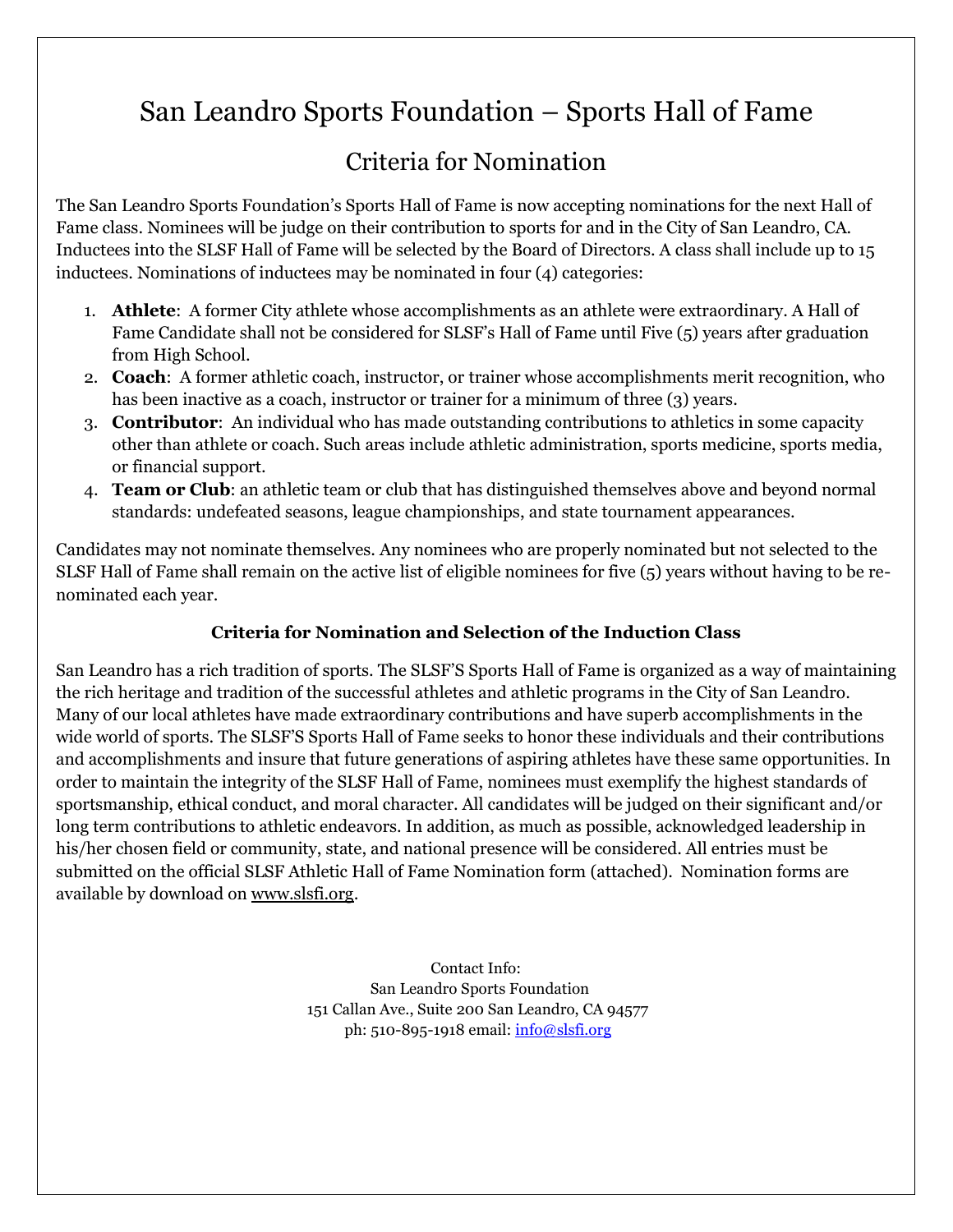## San Leandro Sports Foundation – Sports Hall of Fame

## Criteria for Nomination

The San Leandro Sports Foundation's Sports Hall of Fame is now accepting nominations for the next Hall of Fame class. Nominees will be judge on their contribution to sports for and in the City of San Leandro, CA. Inductees into the SLSF Hall of Fame will be selected by the Board of Directors. A class shall include up to 15 inductees. Nominations of inductees may be nominated in four (4) categories:

- 1. **Athlete**: A former City athlete whose accomplishments as an athlete were extraordinary. A Hall of Fame Candidate shall not be considered for SLSF's Hall of Fame until Five (5) years after graduation from High School.
- 2. **Coach**: A former athletic coach, instructor, or trainer whose accomplishments merit recognition, who has been inactive as a coach, instructor or trainer for a minimum of three (3) years.
- 3. **Contributor**: An individual who has made outstanding contributions to athletics in some capacity other than athlete or coach. Such areas include athletic administration, sports medicine, sports media, or financial support.
- 4. **Team or Club**: an athletic team or club that has distinguished themselves above and beyond normal standards: undefeated seasons, league championships, and state tournament appearances.

Candidates may not nominate themselves. Any nominees who are properly nominated but not selected to the SLSF Hall of Fame shall remain on the active list of eligible nominees for five (5) years without having to be renominated each year.

## **Criteria for Nomination and Selection of the Induction Class**

San Leandro has a rich tradition of sports. The SLSF'S Sports Hall of Fame is organized as a way of maintaining the rich heritage and tradition of the successful athletes and athletic programs in the City of San Leandro. Many of our local athletes have made extraordinary contributions and have superb accomplishments in the wide world of sports. The SLSF'S Sports Hall of Fame seeks to honor these individuals and their contributions and accomplishments and insure that future generations of aspiring athletes have these same opportunities. In order to maintain the integrity of the SLSF Hall of Fame, nominees must exemplify the highest standards of sportsmanship, ethical conduct, and moral character. All candidates will be judged on their significant and/or long term contributions to athletic endeavors. In addition, as much as possible, acknowledged leadership in his/her chosen field or community, state, and national presence will be considered. All entries must be submitted on the official SLSF Athletic Hall of Fame Nomination form (attached). Nomination forms are available by download on [www.slsfi.org.](http://www.slsfi.org/)

> Contact Info: San Leandro Sports Foundation 151 Callan Ave., Suite 200 San Leandro, CA 94577 ph: 510-895-1918 email: [info@slsfi.org](mailto:info@slsfi.org)